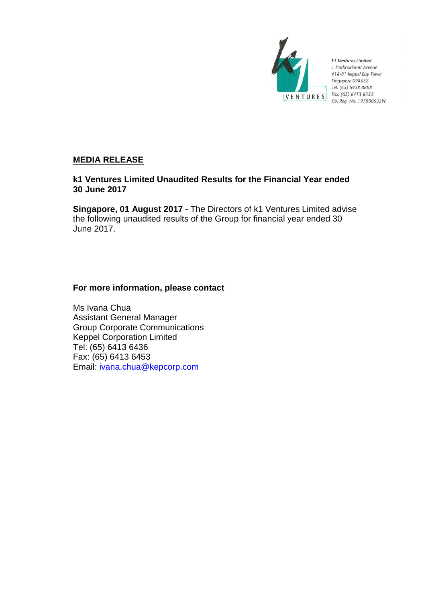

k1 Ventures Limited 1 HarbourFront Avenue #18-01 Keppel Bay Tower Singapore 098632 Tel: (65) 6438 8898 Fax: (65) 6413 6352 Co. Reg. No. 197000535W

# **MEDIA RELEASE**

# **k1 Ventures Limited Unaudited Results for the Financial Year ended 30 June 2017**

**Singapore, 01 August 2017 -** The Directors of k1 Ventures Limited advise the following unaudited results of the Group for financial year ended 30 June 2017.

# **For more information, please contact**

Ms Ivana Chua Assistant General Manager Group Corporate Communications Keppel Corporation Limited Tel: (65) 6413 6436 Fax: (65) 6413 6453 Email: [ivana.chua@kepcorp.com](mailto:ivana.chua@kepcorp.com)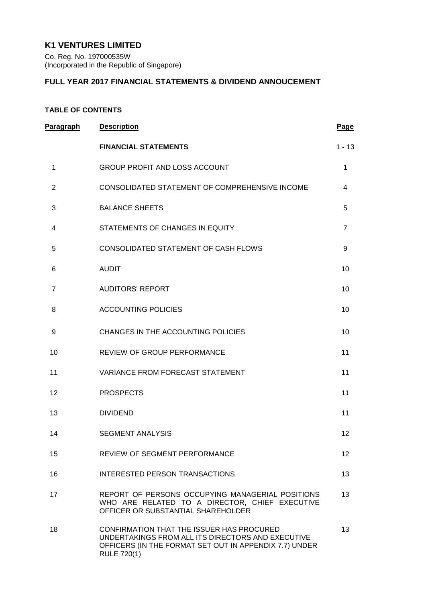# **K1 VENTURES LIMITED**

Co. Reg. No. 197000535W (Incorporated in the Republic of Singapore)

# **FULL YEAR 2017 FINANCIAL STATEMENTS & DIVIDEND ANNOUCEMENT**

# **TABLE OF CONTENTS**

| Paragraph      | <b>Description</b>                                                                                                                                                             | Page            |
|----------------|--------------------------------------------------------------------------------------------------------------------------------------------------------------------------------|-----------------|
|                | <b>FINANCIAL STATEMENTS</b>                                                                                                                                                    | $1 - 13$        |
| 1              | <b>GROUP PROFIT AND LOSS ACCOUNT</b>                                                                                                                                           | 1               |
| $\overline{2}$ | CONSOLIDATED STATEMENT OF COMPREHENSIVE INCOME                                                                                                                                 | 4               |
| 3              | <b>BALANCE SHEETS</b>                                                                                                                                                          | 5               |
| 4              | STATEMENTS OF CHANGES IN EQUITY                                                                                                                                                | $\overline{7}$  |
| 5              | CONSOLIDATED STATEMENT OF CASH FLOWS                                                                                                                                           | 9               |
| 6              | <b>AUDIT</b>                                                                                                                                                                   | 10              |
| $\overline{7}$ | <b>AUDITORS' REPORT</b>                                                                                                                                                        | 10              |
| 8              | <b>ACCOUNTING POLICIES</b>                                                                                                                                                     | 10              |
| 9              | CHANGES IN THE ACCOUNTING POLICIES                                                                                                                                             | 10              |
| 10             | REVIEW OF GROUP PERFORMANCE                                                                                                                                                    | 11              |
| 11             | <b>VARIANCE FROM FORECAST STATEMENT</b>                                                                                                                                        | 11              |
| 12             | <b>PROSPECTS</b>                                                                                                                                                               | 11              |
| 13             | <b>DIVIDEND</b>                                                                                                                                                                | 11              |
| 14             | <b>SEGMENT ANALYSIS</b>                                                                                                                                                        | 12              |
| 15             | <b>REVIEW OF SEGMENT PERFORMANCE</b>                                                                                                                                           | 12 <sup>2</sup> |
| 16             | INTERESTED PERSON TRANSACTIONS                                                                                                                                                 | 13              |
| 17             | REPORT OF PERSONS OCCUPYING MANAGERIAL POSITIONS<br>WHO ARE RELATED TO A DIRECTOR, CHIEF EXECUTIVE<br>OFFICER OR SUBSTANTIAL SHAREHOLDER                                       | 13              |
| 18             | CONFIRMATION THAT THE ISSUER HAS PROCURED<br>UNDERTAKINGS FROM ALL ITS DIRECTORS AND EXECUTIVE<br>OFFICERS (IN THE FORMAT SET OUT IN APPENDIX 7.7) UNDER<br><b>RULE 720(1)</b> | 13              |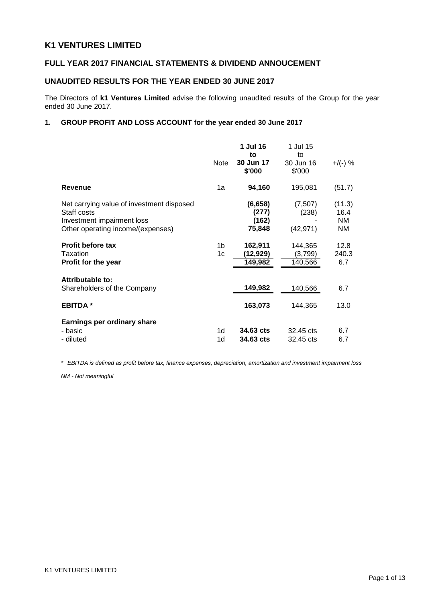# **K1 VENTURES LIMITED**

# **FULL YEAR 2017 FINANCIAL STATEMENTS & DIVIDEND ANNOUCEMENT**

## **UNAUDITED RESULTS FOR THE YEAR ENDED 30 JUNE 2017**

The Directors of **k1 Ventures Limited** advise the following unaudited results of the Group for the year ended 30 June 2017.

# **1. GROUP PROFIT AND LOSS ACCOUNT for the year ended 30 June 2017**

|                                                                                                                             | <b>Note</b>          | 1 Jul 16<br>to<br>30 Jun 17<br>\$'000 | 1 Jul 15<br>to<br>30 Jun 16<br>\$'000 | +/(-) %                     |
|-----------------------------------------------------------------------------------------------------------------------------|----------------------|---------------------------------------|---------------------------------------|-----------------------------|
| <b>Revenue</b>                                                                                                              | 1a                   | 94,160                                | 195,081                               | (51.7)                      |
| Net carrying value of investment disposed<br>Staff costs<br>Investment impairment loss<br>Other operating income/(expenses) |                      | (6,658)<br>(277)<br>(162)<br>75,848   | (7,507)<br>(238)<br>(42,971)          | (11.3)<br>16.4<br>NM<br>NM. |
| <b>Profit before tax</b><br>Taxation<br>Profit for the year                                                                 | 1b<br>1 <sub>c</sub> | 162,911<br>(12,929)<br>149,982        | 144,365<br>(3,799)<br>140,566         | 12.8<br>240.3<br>6.7        |
| Attributable to:<br>Shareholders of the Company                                                                             |                      | 149,982                               | 140,566                               | 6.7                         |
| <b>EBITDA</b> *                                                                                                             |                      | 163,073                               | 144,365                               | 13.0                        |
| Earnings per ordinary share<br>- basic<br>- diluted                                                                         | 1d<br>1d             | 34.63 cts<br>34.63 cts                | 32.45 cts<br>32.45 cts                | 6.7<br>6.7                  |

*\* EBITDA is defined as profit before tax, finance expenses, depreciation, amortization and investment impairment loss*

*NM - Not meaningful*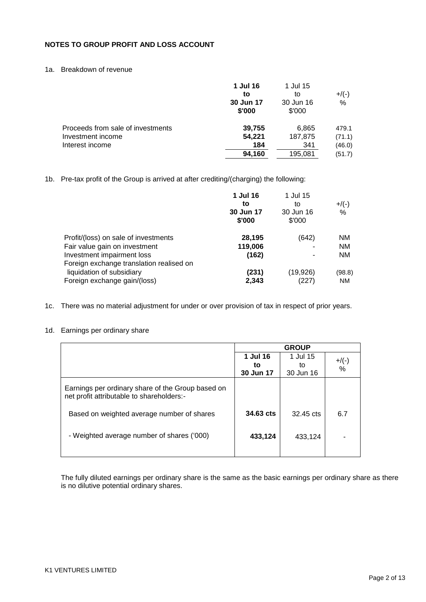# **NOTES TO GROUP PROFIT AND LOSS ACCOUNT**

# 1a. Breakdown of revenue

|                                   | 1 Jul 16<br>to<br>30 Jun 17<br>\$'000 | 1 Jul 15<br>to<br>30 Jun 16<br>\$'000 | $+$ /(-)<br>$\%$ |
|-----------------------------------|---------------------------------------|---------------------------------------|------------------|
| Proceeds from sale of investments | 39,755                                | 6,865                                 | 479.1            |
| Investment income                 | 54,221                                | 187,875                               | (71.1)           |
| Interest income                   | 184                                   | 341                                   | (46.0)           |
|                                   | 94,160                                | 195,081                               | (51.7)           |

1b. Pre-tax profit of the Group is arrived at after crediting/(charging) the following:

|                                          | 1 Jul 16  | 1 Jul 15  |           |
|------------------------------------------|-----------|-----------|-----------|
|                                          | to        | to        | $+$ /(-)  |
|                                          | 30 Jun 17 | 30 Jun 16 | %         |
|                                          | \$'000    | \$'000    |           |
| Profit/(loss) on sale of investments     | 28,195    | (642)     | <b>NM</b> |
| Fair value gain on investment            | 119,006   |           | ΝM        |
| Investment impairment loss               | (162)     | ٠         | NΜ        |
| Foreign exchange translation realised on |           |           |           |
| liquidation of subsidiary                | (231)     | (19, 926) | (98.8)    |
| Foreign exchange gain/(loss)             | 2,343     | (227)     | <b>NM</b> |

1c. There was no material adjustment for under or over provision of tax in respect of prior years.

## 1d. Earnings per ordinary share

|                                                                                                |                | <b>GROUP</b>   |               |
|------------------------------------------------------------------------------------------------|----------------|----------------|---------------|
|                                                                                                | 1 Jul 16<br>to | 1 Jul 15<br>to | $+$ /(-)<br>% |
|                                                                                                | 30 Jun 17      | 30 Jun 16      |               |
| Earnings per ordinary share of the Group based on<br>net profit attributable to shareholders:- |                |                |               |
| Based on weighted average number of shares                                                     | 34.63 cts      | 32.45 cts      | 6.7           |
| - Weighted average number of shares ('000)                                                     | 433,124        | 433.124        |               |
|                                                                                                |                |                |               |

The fully diluted earnings per ordinary share is the same as the basic earnings per ordinary share as there is no dilutive potential ordinary shares.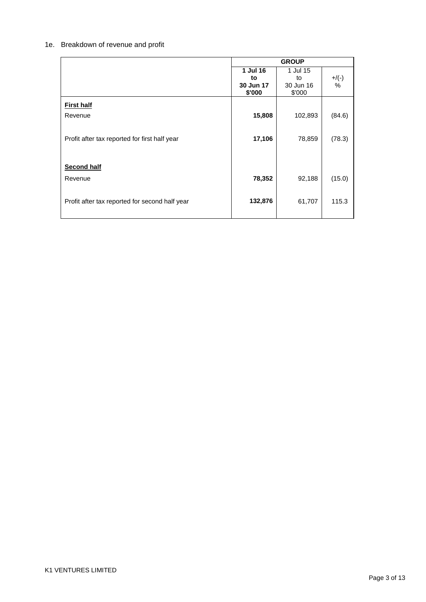# 1e. Breakdown of revenue and profit

|                                                |           | <b>GROUP</b> |         |
|------------------------------------------------|-----------|--------------|---------|
|                                                | 1 Jul 16  | 1 Jul 15     |         |
|                                                | to        | to           | $+/(-)$ |
|                                                | 30 Jun 17 | 30 Jun 16    | %       |
|                                                | \$'000    | \$'000       |         |
| <b>First half</b>                              |           |              |         |
| Revenue                                        | 15,808    | 102,893      | (84.6)  |
|                                                |           |              |         |
| Profit after tax reported for first half year  | 17,106    | 78,859       |         |
|                                                |           |              | (78.3)  |
|                                                |           |              |         |
| <b>Second half</b>                             |           |              |         |
|                                                |           |              |         |
| Revenue                                        | 78,352    | 92,188       | (15.0)  |
|                                                |           |              |         |
| Profit after tax reported for second half year | 132,876   | 61,707       | 115.3   |
|                                                |           |              |         |
|                                                |           |              |         |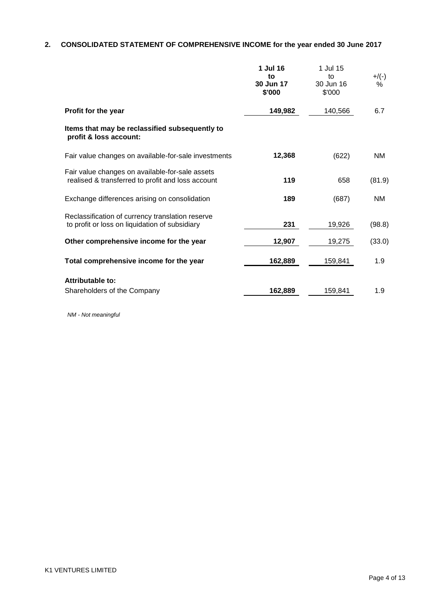# **2. CONSOLIDATED STATEMENT OF COMPREHENSIVE INCOME for the year ended 30 June 2017**

|                                                                                                      | 1 Jul 16<br>to<br>30 Jun 17<br>\$'000 | 1 Jul 15<br>to<br>30 Jun 16<br>\$'000 | $+/(-)$<br>% |
|------------------------------------------------------------------------------------------------------|---------------------------------------|---------------------------------------|--------------|
| Profit for the year                                                                                  | 149,982                               | 140,566                               | 6.7          |
| Items that may be reclassified subsequently to<br>profit & loss account:                             |                                       |                                       |              |
| Fair value changes on available-for-sale investments                                                 | 12,368                                | (622)                                 | NM           |
| Fair value changes on available-for-sale assets<br>realised & transferred to profit and loss account | 119                                   | 658                                   | (81.9)       |
| Exchange differences arising on consolidation                                                        | 189                                   | (687)                                 | NM           |
| Reclassification of currency translation reserve<br>to profit or loss on liquidation of subsidiary   | 231                                   | 19,926                                | (98.8)       |
| Other comprehensive income for the year                                                              | 12,907                                | 19,275                                | (33.0)       |
| Total comprehensive income for the year                                                              | 162,889                               | 159,841                               | 1.9          |
| <b>Attributable to:</b><br>Shareholders of the Company                                               | 162,889                               | 159,841                               | 1.9          |

*NM - Not meaningful*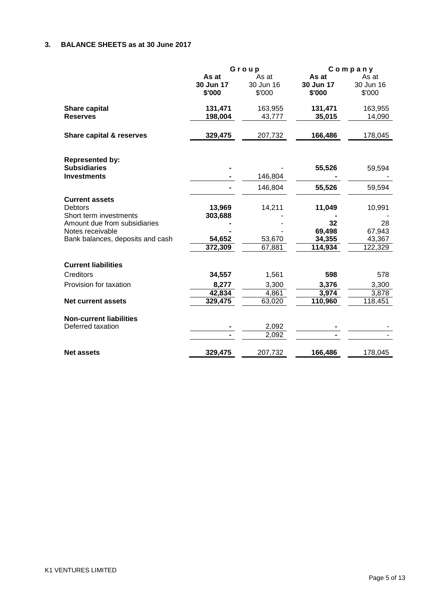# **3. BALANCE SHEETS as at 30 June 2017**

|                                                                                                                                                    | Group                                  |                              | Company                                     |                                             |
|----------------------------------------------------------------------------------------------------------------------------------------------------|----------------------------------------|------------------------------|---------------------------------------------|---------------------------------------------|
|                                                                                                                                                    | As at<br>30 Jun 17<br>\$'000           | As at<br>30 Jun 16<br>\$'000 | As at<br>30 Jun 17<br>\$'000                | As at<br>30 Jun 16<br>\$'000                |
| Share capital<br><b>Reserves</b>                                                                                                                   | 131,471<br>198,004                     | 163,955<br>43,777            | 131,471<br>35,015                           | 163,955<br>14,090                           |
| Share capital & reserves                                                                                                                           | 329,475                                | 207,732                      | 166,486                                     | 178,045                                     |
| <b>Represented by:</b><br><b>Subsidiaries</b><br><b>Investments</b>                                                                                |                                        | 146,804                      | 55,526                                      | 59,594                                      |
|                                                                                                                                                    |                                        | 146,804                      | 55,526                                      | 59,594                                      |
| <b>Current assets</b><br>Debtors<br>Short term investments<br>Amount due from subsidiaries<br>Notes receivable<br>Bank balances, deposits and cash | 13,969<br>303,688<br>54,652<br>372,309 | 14,211<br>53,670<br>67,881   | 11,049<br>32<br>69,498<br>34,355<br>114,934 | 10,991<br>28<br>67,943<br>43,367<br>122,329 |
| <b>Current liabilities</b>                                                                                                                         |                                        |                              |                                             |                                             |
| Creditors                                                                                                                                          | 34,557                                 | 1,561                        | 598                                         | 578                                         |
| Provision for taxation                                                                                                                             | 8,277<br>42,834                        | 3,300<br>4,861               | 3,376<br>3,974                              | 3,300<br>3,878                              |
| <b>Net current assets</b>                                                                                                                          | 329,475                                | 63,020                       | 110,960                                     | 118,451                                     |
| <b>Non-current liabilities</b><br>Deferred taxation                                                                                                |                                        | 2,092<br>2,092               |                                             |                                             |
| <b>Net assets</b>                                                                                                                                  | 329,475                                | 207,732                      | 166,486                                     | 178,045                                     |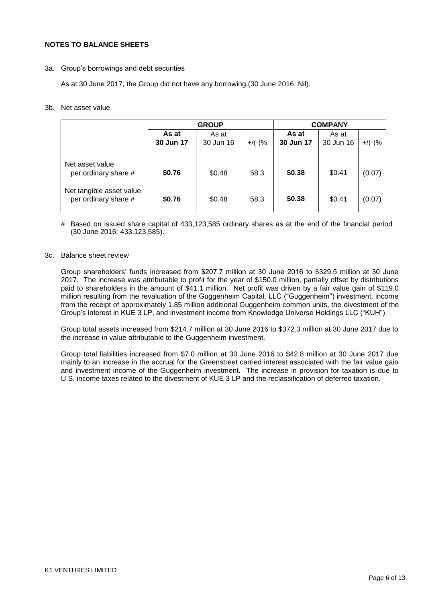## **NOTES TO BALANCE SHEETS**

3a. Group"s borrowings and debt securities

As at 30 June 2017, the Group did not have any borrowing (30 June 2016: Nil).

## 3b. Net asset value

|                                                  | <b>GROUP</b> |           |           | <b>COMPANY</b> |           |           |
|--------------------------------------------------|--------------|-----------|-----------|----------------|-----------|-----------|
|                                                  | As at        | As at     |           |                | As at     |           |
|                                                  | 30 Jun 17    | 30 Jun 16 | $+/(-)$ % | 30 Jun 17      | 30 Jun 16 | $+$ /(-)% |
|                                                  |              |           |           |                |           |           |
| Net asset value<br>per ordinary share #          | \$0.76       | \$0.48    | 58.3      | \$0.38         | \$0.41    | (0.07)    |
| Net tangible asset value<br>per ordinary share # | \$0.76       | \$0.48    | 58.3      | \$0.38         | \$0.41    | (0.07)    |

# Based on issued share capital of 433,123,585 ordinary shares as at the end of the financial period (30 June 2016: 433,123,585).

#### 3c. Balance sheet review

Group shareholders" funds increased from \$207.7 million at 30 June 2016 to \$329.5 million at 30 June 2017. The increase was attributable to profit for the year of \$150.0 million, partially offset by distributions paid to shareholders in the amount of \$41.1 million. Net profit was driven by a fair value gain of \$119.0 million resulting from the revaluation of the Guggenheim Capital, LLC ("Guggenheim") investment, income from the receipt of approximately 1.85 million additional Guggenheim common units, the divestment of the Group"s interest in KUE 3 LP, and investment income from Knowledge Universe Holdings LLC ("KUH").

Group total assets increased from \$214.7 million at 30 June 2016 to \$372.3 million at 30 June 2017 due to the increase in value attributable to the Guggenheim investment.

Group total liabilities increased from \$7.0 million at 30 June 2016 to \$42.8 million at 30 June 2017 due mainly to an increase in the accrual for the Greenstreet carried interest associated with the fair value gain and investment income of the Guggenheim investment. The increase in provision for taxation is due to U.S. income taxes related to the divestment of KUE 3 LP and the reclassification of deferred taxation.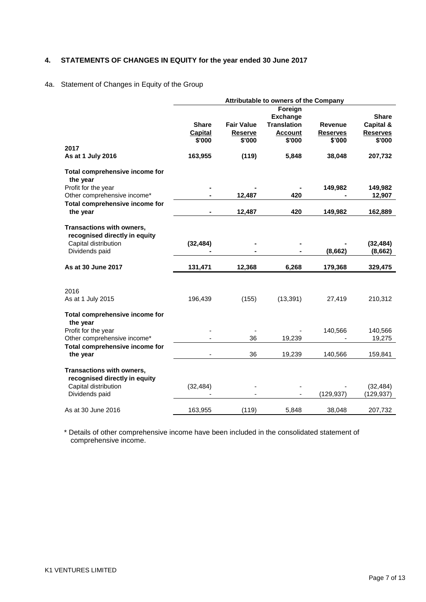# **4. STATEMENTS OF CHANGES IN EQUITY for the year ended 30 June 2017**

# 4a. Statement of Changes in Equity of the Group

|                                                                   |                |                   | Attributable to owners of the Company |                 |                 |
|-------------------------------------------------------------------|----------------|-------------------|---------------------------------------|-----------------|-----------------|
|                                                                   |                |                   | Foreign                               |                 |                 |
|                                                                   |                |                   | <b>Exchange</b>                       |                 | <b>Share</b>    |
|                                                                   | <b>Share</b>   | <b>Fair Value</b> | <b>Translation</b>                    | Revenue         | Capital &       |
|                                                                   | <b>Capital</b> | <b>Reserve</b>    | <b>Account</b>                        | <b>Reserves</b> | <b>Reserves</b> |
|                                                                   | \$'000         | \$'000            | \$'000                                | \$'000          | \$'000          |
| 2017                                                              |                |                   |                                       |                 |                 |
| As at 1 July 2016                                                 | 163,955        | (119)             | 5,848                                 | 38,048          | 207,732         |
| Total comprehensive income for<br>the year                        |                |                   |                                       |                 |                 |
| Profit for the year                                               |                |                   |                                       | 149,982         | 149,982         |
| Other comprehensive income*                                       |                | 12,487            | 420                                   |                 | 12,907          |
| Total comprehensive income for                                    |                |                   |                                       |                 |                 |
| the year                                                          |                | 12,487            | 420                                   | 149,982         | 162,889         |
| Transactions with owners,<br>recognised directly in equity        |                |                   |                                       |                 |                 |
| Capital distribution                                              | (32, 484)      |                   |                                       |                 | (32, 484)       |
| Dividends paid                                                    |                |                   |                                       | (8,662)         | (8,662)         |
| As at 30 June 2017                                                | 131,471        | 12,368            | 6,268                                 | 179,368         | 329,475         |
|                                                                   |                |                   |                                       |                 |                 |
|                                                                   |                |                   |                                       |                 |                 |
| 2016                                                              |                |                   |                                       |                 |                 |
| As at 1 July 2015                                                 | 196,439        | (155)             | (13, 391)                             | 27,419          | 210,312         |
| Total comprehensive income for<br>the year                        |                |                   |                                       |                 |                 |
| Profit for the year                                               |                |                   |                                       | 140,566         | 140,566         |
| Other comprehensive income*                                       |                | 36                | 19,239                                |                 | 19,275          |
| Total comprehensive income for                                    |                |                   |                                       |                 |                 |
| the year                                                          |                | 36                | 19,239                                | 140,566         | 159,841         |
| <b>Transactions with owners,</b><br>recognised directly in equity |                |                   |                                       |                 |                 |
| Capital distribution                                              | (32, 484)      |                   |                                       |                 | (32, 484)       |
| Dividends paid                                                    |                |                   |                                       | (129, 937)      | (129, 937)      |
|                                                                   |                |                   |                                       |                 |                 |
| As at 30 June 2016                                                | 163,955        | (119)             | 5,848                                 | 38,048          | 207,732         |

\* Details of other comprehensive income have been included in the consolidated statement of comprehensive income.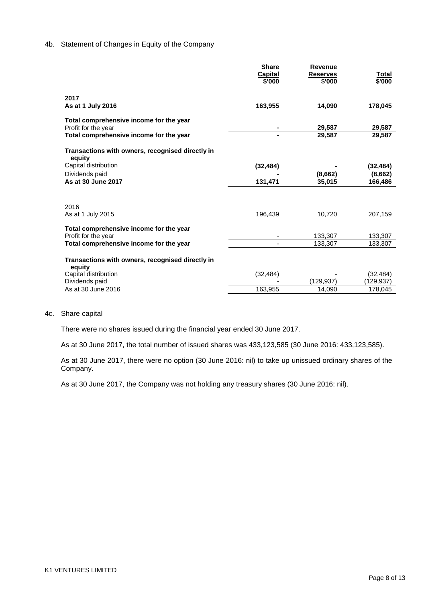## 4b. Statement of Changes in Equity of the Company

|                                                                | Share<br>Capital<br>\$'000 | <b>Revenue</b><br><b>Reserves</b><br>\$'000 | Total<br>\$'000         |
|----------------------------------------------------------------|----------------------------|---------------------------------------------|-------------------------|
| 2017<br>As at 1 July 2016                                      | 163,955                    | 14,090                                      | 178,045                 |
| Total comprehensive income for the year<br>Profit for the year |                            | 29,587                                      | 29,587                  |
| Total comprehensive income for the year                        |                            | 29,587                                      | 29,587                  |
| Transactions with owners, recognised directly in<br>equity     |                            |                                             |                         |
| Capital distribution                                           | (32, 484)                  |                                             | (32, 484)               |
| Dividends paid                                                 |                            | (8,662)                                     | (8,662)                 |
| As at 30 June 2017                                             | 131,471                    | 35,015                                      | 166,486                 |
| 2016<br>As at 1 July 2015                                      | 196,439                    | 10,720                                      | 207,159                 |
| Total comprehensive income for the year<br>Profit for the year |                            | 133,307                                     | 133,307                 |
| Total comprehensive income for the year                        |                            | 133,307                                     | 133,307                 |
| Transactions with owners, recognised directly in<br>equity     |                            |                                             |                         |
| Capital distribution<br>Dividends paid                         | (32, 484)                  | (129,937)                                   | (32, 484)<br>(129, 937) |
| As at 30 June 2016                                             | 163,955                    | 14,090                                      | 178,045                 |
|                                                                |                            |                                             |                         |

## 4c. Share capital

There were no shares issued during the financial year ended 30 June 2017.

As at 30 June 2017, the total number of issued shares was 433,123,585 (30 June 2016: 433,123,585).

As at 30 June 2017, there were no option (30 June 2016: nil) to take up unissued ordinary shares of the Company.

As at 30 June 2017, the Company was not holding any treasury shares (30 June 2016: nil).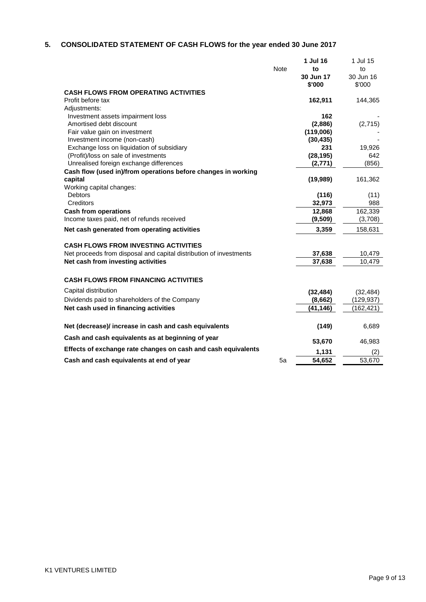# **5. CONSOLIDATED STATEMENT OF CASH FLOWS for the year ended 30 June 2017**

| <b>Note</b><br>to<br>to<br>30 Jun 17<br>30 Jun 16<br>\$'000<br>\$'000<br><b>CASH FLOWS FROM OPERATING ACTIVITIES</b><br>Profit before tax<br>162,911<br>144,365<br>Adjustments:<br>Investment assets impairment loss<br>162<br>(2,886)<br>Amortised debt discount<br>(2,715)<br>(119,006)<br>Fair value gain on investment<br>Investment income (non-cash)<br>(30, 435)<br>Exchange loss on liquidation of subsidiary<br>19,926<br>231<br>(Profit)/loss on sale of investments<br>(28, 195)<br>642<br>Unrealised foreign exchange differences<br>(856)<br>(2,771)<br>Cash flow (used in)/from operations before changes in working<br>capital<br>(19,989)<br>161,362<br>Working capital changes:<br><b>Debtors</b><br>(116)<br>(11)<br>Creditors<br>32,973<br>988<br>162,339<br><b>Cash from operations</b><br>12,868<br>Income taxes paid, net of refunds received<br>(9,509)<br>(3,708)<br>3,359<br>158,631<br>Net cash generated from operating activities<br><b>CASH FLOWS FROM INVESTING ACTIVITIES</b><br>Net proceeds from disposal and capital distribution of investments<br>37,638<br>10,479<br>37,638<br>10,479<br>Net cash from investing activities<br><b>CASH FLOWS FROM FINANCING ACTIVITIES</b><br>Capital distribution<br>(32, 484)<br>(32, 484)<br>Dividends paid to shareholders of the Company<br>(8,662)<br>(129,937)<br>Net cash used in financing activities<br>(41,146)<br>(162, 421)<br>Net (decrease)/ increase in cash and cash equivalents<br>(149)<br>6,689<br>Cash and cash equivalents as at beginning of year<br>53,670<br>46,983<br>Effects of exchange rate changes on cash and cash equivalents<br>1,131<br>(2)<br>54,652<br>53,670<br>Cash and cash equivalents at end of year<br>5a |  | 1 Jul 16 | 1 Jul 15 |
|--------------------------------------------------------------------------------------------------------------------------------------------------------------------------------------------------------------------------------------------------------------------------------------------------------------------------------------------------------------------------------------------------------------------------------------------------------------------------------------------------------------------------------------------------------------------------------------------------------------------------------------------------------------------------------------------------------------------------------------------------------------------------------------------------------------------------------------------------------------------------------------------------------------------------------------------------------------------------------------------------------------------------------------------------------------------------------------------------------------------------------------------------------------------------------------------------------------------------------------------------------------------------------------------------------------------------------------------------------------------------------------------------------------------------------------------------------------------------------------------------------------------------------------------------------------------------------------------------------------------------------------------------------------------------------------------------------------------------|--|----------|----------|
|                                                                                                                                                                                                                                                                                                                                                                                                                                                                                                                                                                                                                                                                                                                                                                                                                                                                                                                                                                                                                                                                                                                                                                                                                                                                                                                                                                                                                                                                                                                                                                                                                                                                                                                          |  |          |          |
|                                                                                                                                                                                                                                                                                                                                                                                                                                                                                                                                                                                                                                                                                                                                                                                                                                                                                                                                                                                                                                                                                                                                                                                                                                                                                                                                                                                                                                                                                                                                                                                                                                                                                                                          |  |          |          |
|                                                                                                                                                                                                                                                                                                                                                                                                                                                                                                                                                                                                                                                                                                                                                                                                                                                                                                                                                                                                                                                                                                                                                                                                                                                                                                                                                                                                                                                                                                                                                                                                                                                                                                                          |  |          |          |
|                                                                                                                                                                                                                                                                                                                                                                                                                                                                                                                                                                                                                                                                                                                                                                                                                                                                                                                                                                                                                                                                                                                                                                                                                                                                                                                                                                                                                                                                                                                                                                                                                                                                                                                          |  |          |          |
|                                                                                                                                                                                                                                                                                                                                                                                                                                                                                                                                                                                                                                                                                                                                                                                                                                                                                                                                                                                                                                                                                                                                                                                                                                                                                                                                                                                                                                                                                                                                                                                                                                                                                                                          |  |          |          |
|                                                                                                                                                                                                                                                                                                                                                                                                                                                                                                                                                                                                                                                                                                                                                                                                                                                                                                                                                                                                                                                                                                                                                                                                                                                                                                                                                                                                                                                                                                                                                                                                                                                                                                                          |  |          |          |
|                                                                                                                                                                                                                                                                                                                                                                                                                                                                                                                                                                                                                                                                                                                                                                                                                                                                                                                                                                                                                                                                                                                                                                                                                                                                                                                                                                                                                                                                                                                                                                                                                                                                                                                          |  |          |          |
|                                                                                                                                                                                                                                                                                                                                                                                                                                                                                                                                                                                                                                                                                                                                                                                                                                                                                                                                                                                                                                                                                                                                                                                                                                                                                                                                                                                                                                                                                                                                                                                                                                                                                                                          |  |          |          |
|                                                                                                                                                                                                                                                                                                                                                                                                                                                                                                                                                                                                                                                                                                                                                                                                                                                                                                                                                                                                                                                                                                                                                                                                                                                                                                                                                                                                                                                                                                                                                                                                                                                                                                                          |  |          |          |
|                                                                                                                                                                                                                                                                                                                                                                                                                                                                                                                                                                                                                                                                                                                                                                                                                                                                                                                                                                                                                                                                                                                                                                                                                                                                                                                                                                                                                                                                                                                                                                                                                                                                                                                          |  |          |          |
|                                                                                                                                                                                                                                                                                                                                                                                                                                                                                                                                                                                                                                                                                                                                                                                                                                                                                                                                                                                                                                                                                                                                                                                                                                                                                                                                                                                                                                                                                                                                                                                                                                                                                                                          |  |          |          |
|                                                                                                                                                                                                                                                                                                                                                                                                                                                                                                                                                                                                                                                                                                                                                                                                                                                                                                                                                                                                                                                                                                                                                                                                                                                                                                                                                                                                                                                                                                                                                                                                                                                                                                                          |  |          |          |
|                                                                                                                                                                                                                                                                                                                                                                                                                                                                                                                                                                                                                                                                                                                                                                                                                                                                                                                                                                                                                                                                                                                                                                                                                                                                                                                                                                                                                                                                                                                                                                                                                                                                                                                          |  |          |          |
|                                                                                                                                                                                                                                                                                                                                                                                                                                                                                                                                                                                                                                                                                                                                                                                                                                                                                                                                                                                                                                                                                                                                                                                                                                                                                                                                                                                                                                                                                                                                                                                                                                                                                                                          |  |          |          |
|                                                                                                                                                                                                                                                                                                                                                                                                                                                                                                                                                                                                                                                                                                                                                                                                                                                                                                                                                                                                                                                                                                                                                                                                                                                                                                                                                                                                                                                                                                                                                                                                                                                                                                                          |  |          |          |
|                                                                                                                                                                                                                                                                                                                                                                                                                                                                                                                                                                                                                                                                                                                                                                                                                                                                                                                                                                                                                                                                                                                                                                                                                                                                                                                                                                                                                                                                                                                                                                                                                                                                                                                          |  |          |          |
|                                                                                                                                                                                                                                                                                                                                                                                                                                                                                                                                                                                                                                                                                                                                                                                                                                                                                                                                                                                                                                                                                                                                                                                                                                                                                                                                                                                                                                                                                                                                                                                                                                                                                                                          |  |          |          |
|                                                                                                                                                                                                                                                                                                                                                                                                                                                                                                                                                                                                                                                                                                                                                                                                                                                                                                                                                                                                                                                                                                                                                                                                                                                                                                                                                                                                                                                                                                                                                                                                                                                                                                                          |  |          |          |
|                                                                                                                                                                                                                                                                                                                                                                                                                                                                                                                                                                                                                                                                                                                                                                                                                                                                                                                                                                                                                                                                                                                                                                                                                                                                                                                                                                                                                                                                                                                                                                                                                                                                                                                          |  |          |          |
|                                                                                                                                                                                                                                                                                                                                                                                                                                                                                                                                                                                                                                                                                                                                                                                                                                                                                                                                                                                                                                                                                                                                                                                                                                                                                                                                                                                                                                                                                                                                                                                                                                                                                                                          |  |          |          |
|                                                                                                                                                                                                                                                                                                                                                                                                                                                                                                                                                                                                                                                                                                                                                                                                                                                                                                                                                                                                                                                                                                                                                                                                                                                                                                                                                                                                                                                                                                                                                                                                                                                                                                                          |  |          |          |
|                                                                                                                                                                                                                                                                                                                                                                                                                                                                                                                                                                                                                                                                                                                                                                                                                                                                                                                                                                                                                                                                                                                                                                                                                                                                                                                                                                                                                                                                                                                                                                                                                                                                                                                          |  |          |          |
|                                                                                                                                                                                                                                                                                                                                                                                                                                                                                                                                                                                                                                                                                                                                                                                                                                                                                                                                                                                                                                                                                                                                                                                                                                                                                                                                                                                                                                                                                                                                                                                                                                                                                                                          |  |          |          |
|                                                                                                                                                                                                                                                                                                                                                                                                                                                                                                                                                                                                                                                                                                                                                                                                                                                                                                                                                                                                                                                                                                                                                                                                                                                                                                                                                                                                                                                                                                                                                                                                                                                                                                                          |  |          |          |
|                                                                                                                                                                                                                                                                                                                                                                                                                                                                                                                                                                                                                                                                                                                                                                                                                                                                                                                                                                                                                                                                                                                                                                                                                                                                                                                                                                                                                                                                                                                                                                                                                                                                                                                          |  |          |          |
|                                                                                                                                                                                                                                                                                                                                                                                                                                                                                                                                                                                                                                                                                                                                                                                                                                                                                                                                                                                                                                                                                                                                                                                                                                                                                                                                                                                                                                                                                                                                                                                                                                                                                                                          |  |          |          |
|                                                                                                                                                                                                                                                                                                                                                                                                                                                                                                                                                                                                                                                                                                                                                                                                                                                                                                                                                                                                                                                                                                                                                                                                                                                                                                                                                                                                                                                                                                                                                                                                                                                                                                                          |  |          |          |
|                                                                                                                                                                                                                                                                                                                                                                                                                                                                                                                                                                                                                                                                                                                                                                                                                                                                                                                                                                                                                                                                                                                                                                                                                                                                                                                                                                                                                                                                                                                                                                                                                                                                                                                          |  |          |          |
|                                                                                                                                                                                                                                                                                                                                                                                                                                                                                                                                                                                                                                                                                                                                                                                                                                                                                                                                                                                                                                                                                                                                                                                                                                                                                                                                                                                                                                                                                                                                                                                                                                                                                                                          |  |          |          |
|                                                                                                                                                                                                                                                                                                                                                                                                                                                                                                                                                                                                                                                                                                                                                                                                                                                                                                                                                                                                                                                                                                                                                                                                                                                                                                                                                                                                                                                                                                                                                                                                                                                                                                                          |  |          |          |
|                                                                                                                                                                                                                                                                                                                                                                                                                                                                                                                                                                                                                                                                                                                                                                                                                                                                                                                                                                                                                                                                                                                                                                                                                                                                                                                                                                                                                                                                                                                                                                                                                                                                                                                          |  |          |          |
|                                                                                                                                                                                                                                                                                                                                                                                                                                                                                                                                                                                                                                                                                                                                                                                                                                                                                                                                                                                                                                                                                                                                                                                                                                                                                                                                                                                                                                                                                                                                                                                                                                                                                                                          |  |          |          |
|                                                                                                                                                                                                                                                                                                                                                                                                                                                                                                                                                                                                                                                                                                                                                                                                                                                                                                                                                                                                                                                                                                                                                                                                                                                                                                                                                                                                                                                                                                                                                                                                                                                                                                                          |  |          |          |
|                                                                                                                                                                                                                                                                                                                                                                                                                                                                                                                                                                                                                                                                                                                                                                                                                                                                                                                                                                                                                                                                                                                                                                                                                                                                                                                                                                                                                                                                                                                                                                                                                                                                                                                          |  |          |          |
|                                                                                                                                                                                                                                                                                                                                                                                                                                                                                                                                                                                                                                                                                                                                                                                                                                                                                                                                                                                                                                                                                                                                                                                                                                                                                                                                                                                                                                                                                                                                                                                                                                                                                                                          |  |          |          |
|                                                                                                                                                                                                                                                                                                                                                                                                                                                                                                                                                                                                                                                                                                                                                                                                                                                                                                                                                                                                                                                                                                                                                                                                                                                                                                                                                                                                                                                                                                                                                                                                                                                                                                                          |  |          |          |
|                                                                                                                                                                                                                                                                                                                                                                                                                                                                                                                                                                                                                                                                                                                                                                                                                                                                                                                                                                                                                                                                                                                                                                                                                                                                                                                                                                                                                                                                                                                                                                                                                                                                                                                          |  |          |          |
|                                                                                                                                                                                                                                                                                                                                                                                                                                                                                                                                                                                                                                                                                                                                                                                                                                                                                                                                                                                                                                                                                                                                                                                                                                                                                                                                                                                                                                                                                                                                                                                                                                                                                                                          |  |          |          |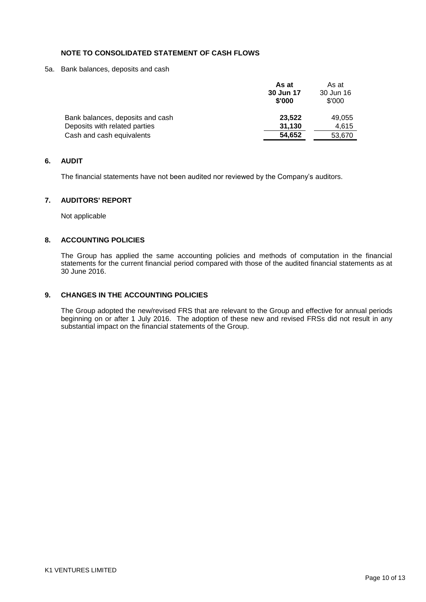# **NOTE TO CONSOLIDATED STATEMENT OF CASH FLOWS**

5a. Bank balances, deposits and cash

|                                  | As at     | As at     |
|----------------------------------|-----------|-----------|
|                                  | 30 Jun 17 | 30 Jun 16 |
|                                  | \$'000    | \$'000    |
| Bank balances, deposits and cash | 23.522    | 49,055    |
| Deposits with related parties    | 31,130    | 4.615     |
| Cash and cash equivalents        | 54,652    | 53,670    |
|                                  |           |           |

## **6. AUDIT**

The financial statements have not been audited nor reviewed by the Company's auditors.

# **7. AUDITORS' REPORT**

Not applicable

# **8. ACCOUNTING POLICIES**

The Group has applied the same accounting policies and methods of computation in the financial statements for the current financial period compared with those of the audited financial statements as at 30 June 2016.

## **9. CHANGES IN THE ACCOUNTING POLICIES**

The Group adopted the new/revised FRS that are relevant to the Group and effective for annual periods beginning on or after 1 July 2016. The adoption of these new and revised FRSs did not result in any substantial impact on the financial statements of the Group.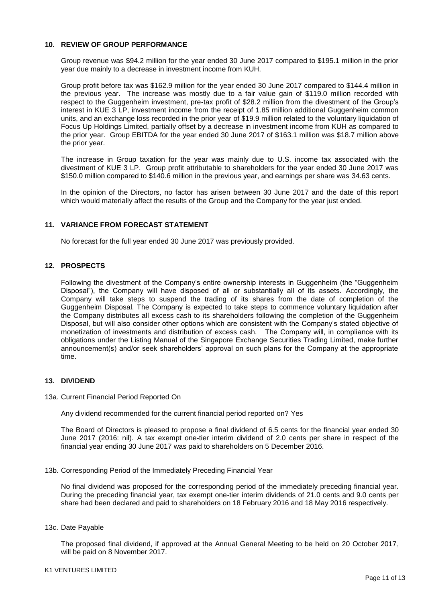#### **10. REVIEW OF GROUP PERFORMANCE**

Group revenue was \$94.2 million for the year ended 30 June 2017 compared to \$195.1 million in the prior year due mainly to a decrease in investment income from KUH.

Group profit before tax was \$162.9 million for the year ended 30 June 2017 compared to \$144.4 million in the previous year. The increase was mostly due to a fair value gain of \$119.0 million recorded with respect to the Guggenheim investment, pre-tax profit of \$28.2 million from the divestment of the Group"s interest in KUE 3 LP, investment income from the receipt of 1.85 million additional Guggenheim common units, and an exchange loss recorded in the prior year of \$19.9 million related to the voluntary liquidation of Focus Up Holdings Limited, partially offset by a decrease in investment income from KUH as compared to the prior year. Group EBITDA for the year ended 30 June 2017 of \$163.1 million was \$18.7 million above the prior year.

The increase in Group taxation for the year was mainly due to U.S. income tax associated with the divestment of KUE 3 LP. Group profit attributable to shareholders for the year ended 30 June 2017 was \$150.0 million compared to \$140.6 million in the previous year, and earnings per share was 34.63 cents.

In the opinion of the Directors, no factor has arisen between 30 June 2017 and the date of this report which would materially affect the results of the Group and the Company for the year just ended.

## **11. VARIANCE FROM FORECAST STATEMENT**

No forecast for the full year ended 30 June 2017 was previously provided.

## **12. PROSPECTS**

Following the divestment of the Company"s entire ownership interests in Guggenheim (the "Guggenheim Disposal"), the Company will have disposed of all or substantially all of its assets. Accordingly, the Company will take steps to suspend the trading of its shares from the date of completion of the Guggenheim Disposal. The Company is expected to take steps to commence voluntary liquidation after the Company distributes all excess cash to its shareholders following the completion of the Guggenheim Disposal, but will also consider other options which are consistent with the Company"s stated objective of monetization of investments and distribution of excess cash. The Company will, in compliance with its obligations under the Listing Manual of the Singapore Exchange Securities Trading Limited, make further announcement(s) and/or seek shareholders' approval on such plans for the Company at the appropriate time.

## **13. DIVIDEND**

13a. Current Financial Period Reported On

Any dividend recommended for the current financial period reported on? Yes

The Board of Directors is pleased to propose a final dividend of 6.5 cents for the financial year ended 30 June 2017 (2016: nil). A tax exempt one-tier interim dividend of 2.0 cents per share in respect of the financial year ending 30 June 2017 was paid to shareholders on 5 December 2016.

13b. Corresponding Period of the Immediately Preceding Financial Year

No final dividend was proposed for the corresponding period of the immediately preceding financial year. During the preceding financial year, tax exempt one-tier interim dividends of 21.0 cents and 9.0 cents per share had been declared and paid to shareholders on 18 February 2016 and 18 May 2016 respectively.

13c. Date Payable

The proposed final dividend, if approved at the Annual General Meeting to be held on 20 October 2017, will be paid on 8 November 2017.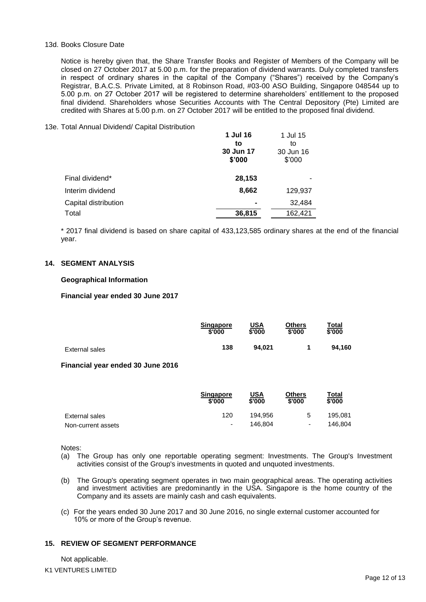#### 13d. Books Closure Date

Notice is hereby given that, the Share Transfer Books and Register of Members of the Company will be closed on 27 October 2017 at 5.00 p.m. for the preparation of dividend warrants. Duly completed transfers in respect of ordinary shares in the capital of the Company ("Shares") received by the Company"s Registrar, B.A.C.S. Private Limited, at 8 Robinson Road, #03-00 ASO Building, Singapore 048544 up to 5.00 p.m. on 27 October 2017 will be registered to determine shareholders" entitlement to the proposed final dividend. Shareholders whose Securities Accounts with The Central Depository (Pte) Limited are credited with Shares at 5.00 p.m. on 27 October 2017 will be entitled to the proposed final dividend.

#### 13e. Total Annual Dividend/ Capital Distribution

| 1 Jul 16  |           |
|-----------|-----------|
| to        | to        |
| 30 Jun 17 | 30 Jun 16 |
| \$'000    | \$'000    |
| 28,153    |           |
| 8,662     | 129,937   |
|           | 32,484    |
| 36,815    | 162,421   |
|           |           |

\* 2017 final dividend is based on share capital of 433,123,585 ordinary shares at the end of the financial year.

#### **14. SEGMENT ANALYSIS**

#### **Geographical Information**

#### **Financial year ended 30 June 2017**

|                | <b>Singapore</b> | <u>USA</u> | Others | <u>Total</u> |
|----------------|------------------|------------|--------|--------------|
|                | \$'000           | \$'000     | \$'000 | \$'000       |
| External sales | 138              | 94.021     |        | 94.160       |

#### **Financial year ended 30 June 2016**

|                    | <b>Singapore</b><br>\$'000 | <u>USA</u><br>\$'000 | Others<br>\$'000 | Total<br>\$'000 |
|--------------------|----------------------------|----------------------|------------------|-----------------|
| External sales     | 120                        | 194.956              | 5                | 195.081         |
| Non-current assets | $\overline{a}$             | 146.804              | ۰                | 146.804         |

Notes:

- (a) The Group has only one reportable operating segment: Investments. The Group's Investment activities consist of the Group's investments in quoted and unquoted investments.
- (b) The Group's operating segment operates in two main geographical areas. The operating activities and investment activities are predominantly in the USA. Singapore is the home country of the Company and its assets are mainly cash and cash equivalents.
- (c) For the years ended 30 June 2017 and 30 June 2016, no single external customer accounted for 10% or more of the Group"s revenue.

# **15. REVIEW OF SEGMENT PERFORMANCE**

K1 VENTURES LIMITED Not applicable.